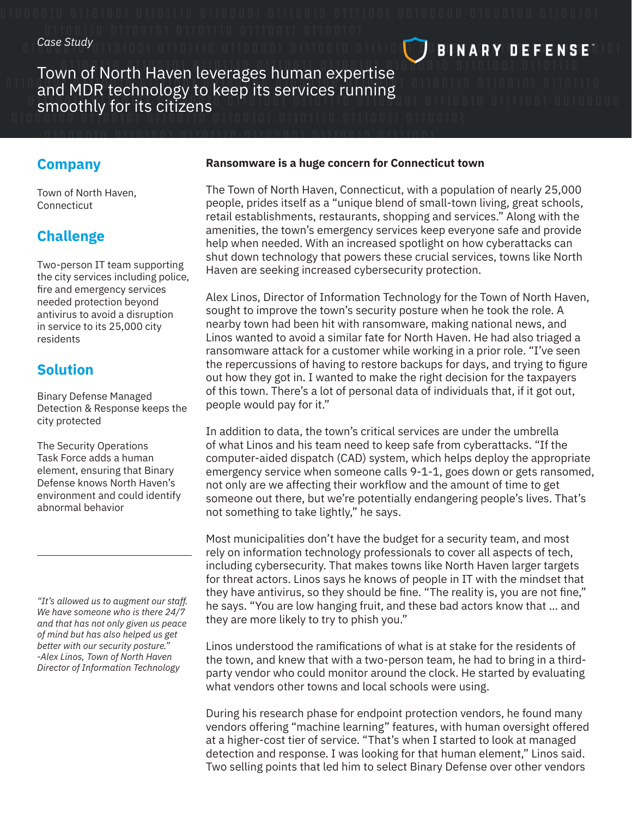# Town of North Haven leverages human expertise and MDR technology to keep its services running smoothly for its citizens

### **Company**

Town of North Haven, Connecticut

# **Challenge**

Two-person IT team supporting the city services including police, fire and emergency services needed protection beyond antivirus to avoid a disruption in service to its 25,000 city residents

### **Solution**

Binary Defense Managed Detection & Response keeps the city protected

The Security Operations Task Force adds a human element, ensuring that Binary Defense knows North Haven's environment and could identify abnormal behavior

*"It's allowed us to augment our staff. We have someone who is there 24/7 and that has not only given us peace of mind but has also helped us get better with our security posture." -Alex Linos, Town of North Haven Director of Information Technology*

#### **Ransomware is a huge concern for Connecticut town**

The Town of North Haven, Connecticut, with a population of nearly 25,000 people, prides itself as a "unique blend of small-town living, great schools, retail establishments, restaurants, shopping and services." Along with the amenities, the town's emergency services keep everyone safe and provide help when needed. With an increased spotlight on how cyberattacks can shut down technology that powers these crucial services, towns like North Haven are seeking increased cybersecurity protection.

**BINARY DEFENSET** 

Alex Linos, Director of Information Technology for the Town of North Haven, sought to improve the town's security posture when he took the role. A nearby town had been hit with ransomware, making national news, and Linos wanted to avoid a similar fate for North Haven. He had also triaged a ransomware attack for a customer while working in a prior role. "I've seen the repercussions of having to restore backups for days, and trying to figure out how they got in. I wanted to make the right decision for the taxpayers of this town. There's a lot of personal data of individuals that, if it got out, people would pay for it."

In addition to data, the town's critical services are under the umbrella of what Linos and his team need to keep safe from cyberattacks. "If the computer-aided dispatch (CAD) system, which helps deploy the appropriate emergency service when someone calls 9-1-1, goes down or gets ransomed, not only are we affecting their workflow and the amount of time to get someone out there, but we're potentially endangering people's lives. That's not something to take lightly," he says.

Most municipalities don't have the budget for a security team, and most rely on information technology professionals to cover all aspects of tech, including cybersecurity. That makes towns like North Haven larger targets for threat actors. Linos says he knows of people in IT with the mindset that they have antivirus, so they should be fine. "The reality is, you are not fine," he says. "You are low hanging fruit, and these bad actors know that … and they are more likely to try to phish you."

Linos understood the ramifications of what is at stake for the residents of the town, and knew that with a two-person team, he had to bring in a thirdparty vendor who could monitor around the clock. He started by evaluating what vendors other towns and local schools were using.

During his research phase for endpoint protection vendors, he found many vendors offering "machine learning" features, with human oversight offered at a higher-cost tier of service. "That's when I started to look at managed detection and response. I was looking for that human element," Linos said. Two selling points that led him to select Binary Defense over other vendors